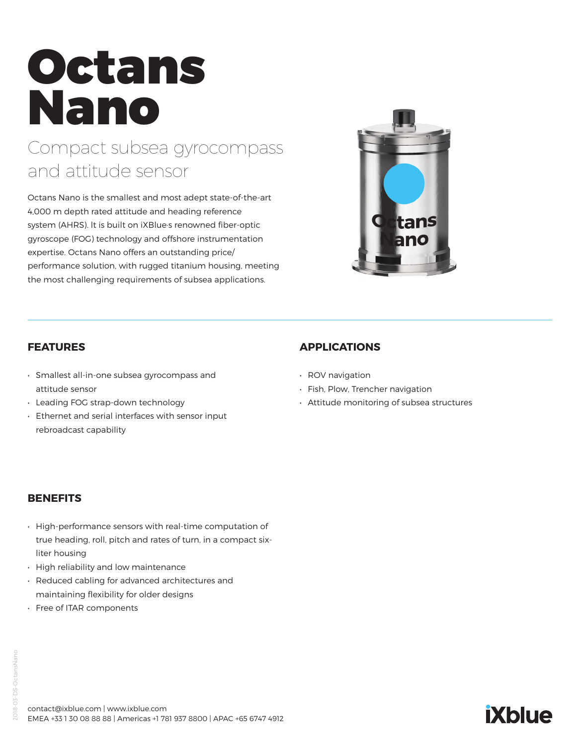# Octans Nano

## Compact subsea gyrocompass and attitude sensor

Octans Nano is the smallest and most adept state-of-the-art 4,000 m depth rated attitude and heading reference system (AHRS). lt is built on iXBlue·s renowned fiber-optic gyroscope (FOG) technology and offshore instrumentation expertise. Octans Nano offers an outstanding price/ performance solution, with rugged titanium housing, meeting the most challenging requirements of subsea applications.



#### **FEATURES**

- Smallest all-in-one subsea gyrocompass and attitude sensor
- Leading FOG strap-down technology
- Ethernet and serial interfaces with sensor input rebroadcast capability

### **APPLICATIONS**

- ROV navigation
- Fish, Plow, Trencher navigation
- Attitude monitoring of subsea structures

#### **BENEFITS**

- High-performance sensors with real-time computation of true heading, roll, pitch and rates of turn, in a compact sixliter housing
- High reliability and low maintenance
- Reduced cabling for advanced architectures and maintaining flexibility for older designs
- Free of ITAR components

contact@ixblue.com | www.ixblue.com EMEA +33 1 30 08 88 88 | Americas +1 781 937 8800 | APAC +65 6747 4912

## **iXblue**